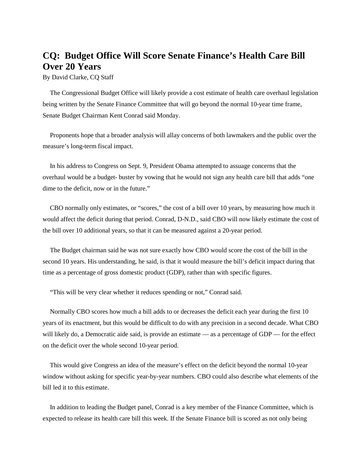## **CQ: Budget Office Will Score Senate Finance's Health Care Bill Over 20 Years**

By David Clarke, CQ Staff

The Congressional Budget Office will likely provide a cost estimate of health care overhaul legislation being written by the Senate Finance Committee that will go beyond the normal 10-year time frame, Senate Budget Chairman Kent Conrad said Monday.

Proponents hope that a broader analysis will allay concerns of both lawmakers and the public over the measure's long-term fiscal impact.

In his address to Congress on Sept. 9, President Obama attempted to assuage concerns that the overhaul would be a budget- buster by vowing that he would not sign any health care bill that adds "one dime to the deficit, now or in the future."

CBO normally only estimates, or "scores," the cost of a bill over 10 years, by measuring how much it would affect the deficit during that period. Conrad, D-N.D., said CBO will now likely estimate the cost of the bill over 10 additional years, so that it can be measured against a 20-year period.

The Budget chairman said he was not sure exactly how CBO would score the cost of the bill in the second 10 years. His understanding, he said, is that it would measure the bill's deficit impact during that time as a percentage of gross domestic product (GDP), rather than with specific figures.

"This will be very clear whether it reduces spending or not," Conrad said.

Normally CBO scores how much a bill adds to or decreases the deficit each year during the first 10 years of its enactment, but this would be difficult to do with any precision in a second decade. What CBO will likely do, a Democratic aide said, is provide an estimate — as a percentage of GDP — for the effect on the deficit over the whole second 10-year period.

This would give Congress an idea of the measure's effect on the deficit beyond the normal 10-year window without asking for specific year-by-year numbers. CBO could also describe what elements of the bill led it to this estimate.

In addition to leading the Budget panel, Conrad is a key member of the Finance Committee, which is expected to release its health care bill this week. If the Senate Finance bill is scored as not only being